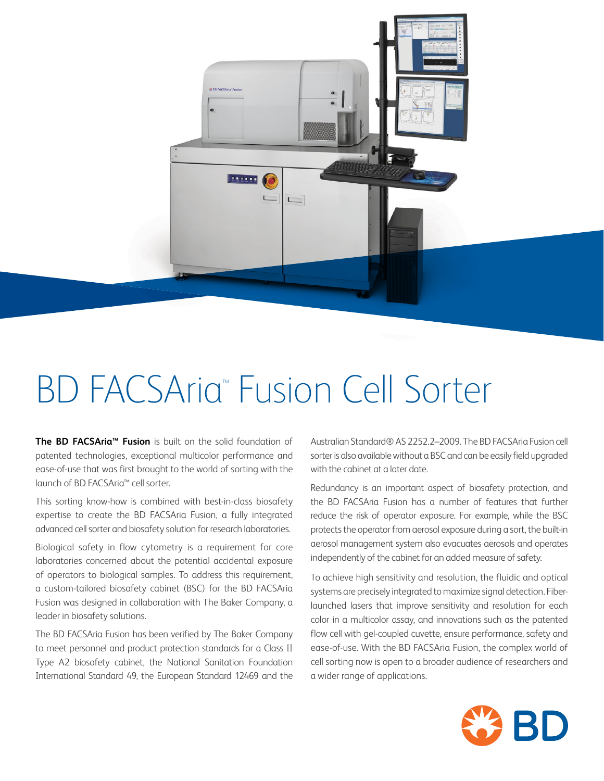

# **BD FACSAria<sup>™</sup> Fusion Cell Sorter**

**The BD FACSAria™ Fusion** is built on the solid foundation of patented technologies, exceptional multicolor performance and ease-of-use that was first brought to the world of sorting with the launch of BD FACSAria™ cell sorter.

This sorting know-how is combined with best-in-class biosafety expertise to create the BD FACSAria Fusion, a fully integrated advanced cell sorter and biosafety solution for research laboratories.

Biological safety in flow cytometry is a requirement for core laboratories concerned about the potential accidental exposure of operators to biological samples. To address this requirement, a custom-tailored biosafety cabinet (BSC) for the BD FACSAria Fusion was designed in collaboration with The Baker Company, a leader in biosafety solutions.

The BD FACSAria Fusion has been verified by The Baker Company to meet personnel and product protection standards for a Class II Type A2 biosafety cabinet, the National Sanitation Foundation International Standard 49, the European Standard 12469 and the

Australian Standard® AS 2252.2–2009. The BD FACSAria Fusion cell sorter is also available without a BSC and can be easily field upgraded with the cabinet at a later date.

Redundancy is an important aspect of biosafety protection, and the BD FACSAria Fusion has a number of features that further reduce the risk of operator exposure. For example, while the BSC protects the operator from aerosol exposure during a sort, the built-in aerosol management system also evacuates aerosols and operates independently of the cabinet for an added measure of safety.

To achieve high sensitivity and resolution, the fluidic and optical systems are precisely integrated to maximize signal detection. Fiberlaunched lasers that improve sensitivity and resolution for each color in a multicolor assay, and innovations such as the patented flow cell with gel-coupled cuvette, ensure performance, safety and ease-of-use. With the BD FACSAria Fusion, the complex world of cell sorting now is open to a broader audience of researchers and a wider range of applications.

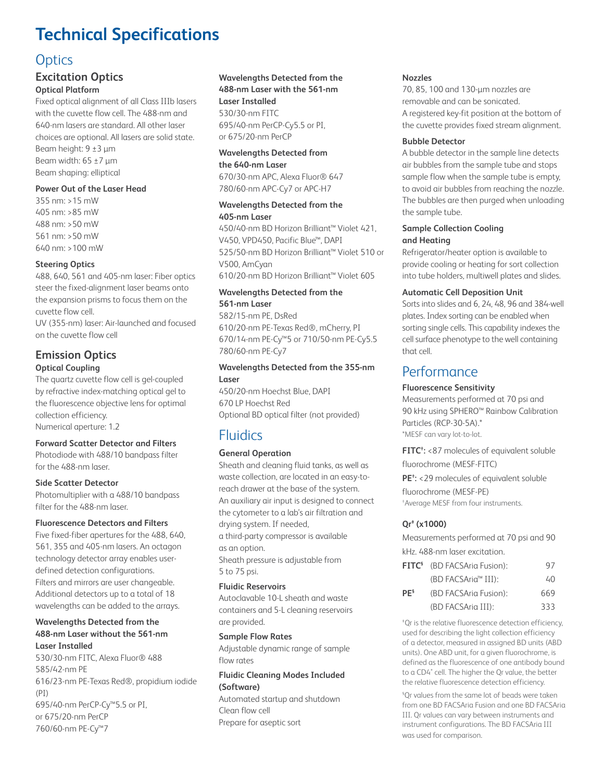# **Technical Specifications**

# **Optics**

# **Excitation Optics Optical Platform**

Fixed optical alignment of all Class IIIb lasers with the cuvette flow cell. The 488-nm and 640-nm lasers are standard. All other laser choices are optional. All lasers are solid state. Beam height: 9 ±3 µm Beam width:  $65 \pm 7 \,\mathrm{\upmu m}$ Beam shaping: elliptical

# **Power Out of the Laser Head**

355 nm: >15 mW 405 nm: >85 mW 488 nm: >50 mW 561 nm: >50 mW 640 nm: >100 mW

# **Steering Optics**

488, 640, 561 and 405-nm laser: Fiber optics steer the fixed-alignment laser beams onto the expansion prisms to focus them on the cuvette flow cell.

UV (355-nm) laser: Air-launched and focused on the cuvette flow cell

# **Emission Optics Optical Coupling**

The quartz cuvette flow cell is gel-coupled by refractive index-matching optical gel to the fluorescence objective lens for optimal collection efficiency. Numerical aperture: 1.2

# **Forward Scatter Detector and Filters**

Photodiode with 488/10 bandpass filter for the 488-nm laser.

# **Side Scatter Detector**

Photomultiplier with a 488/10 bandpass filter for the 488-nm laser.

# **Fluorescence Detectors and Filters**

Five fixed-fiber apertures for the 488, 640, 561, 355 and 405-nm lasers. An octagon technology detector array enables userdefined detection configurations. Filters and mirrors are user changeable. Additional detectors up to a total of 18 wavelengths can be added to the arrays.

## **Wavelengths Detected from the 488-nm Laser without the 561-nm Laser Installed**

530/30-nm FITC, Alexa Fluor® 488 585/42-nm PE 616/23-nm PE-Texas Red®, propidium iodide  $(PI)$ 695/40-nm PerCP-Cy™5.5 or PI, or 675/20-nm PerCP 760/60-nm PE-Cy™7

# **Wavelengths Detected from the**

**488-nm Laser with the 561-nm Laser Installed**

530/30-nm FITC 695/40-nm PerCP-Cy5.5 or PI, or 675/20-nm PerCP

#### **Wavelengths Detected from the 640-nm Laser**

670/30-nm APC, Alexa Fluor® 647 780/60-nm APC-Cy7 or APC-H7

#### **Wavelengths Detected from the 405-nm Laser**

450/40-nm BD Horizon Brilliant™ Violet 421, V450, VPD450, Pacific Blue™, DAPI 525/50-nm BD Horizon Brilliant™ Violet 510 or V500, AmCyan 610/20-nm BD Horizon Brilliant™ Violet 605

# **Wavelengths Detected from the 561-nm Laser**

582/15-nm PE, DsRed 610/20-nm PE-Texas Red®, mCherry, PI 670/14-nm PE-Cy™5 or 710/50-nm PE-Cy5.5 780/60-nm PE-Cy7

# **Wavelengths Detected from the 355-nm Laser**

450/20-nm Hoechst Blue, DAPI 670 LP Hoechst Red Optional BD optical filter (not provided)

# Fluidics

# **General Operation**

Sheath and cleaning fluid tanks, as well as waste collection, are located in an easy-toreach drawer at the base of the system. An auxiliary air input is designed to connect the cytometer to a lab's air filtration and drying system. If needed, a third-party compressor is available as an option. Sheath pressure is adjustable from

5 to 75 psi.

# **Fluidic Reservoirs**

Autoclavable 10-L sheath and waste containers and 5-L cleaning reservoirs are provided.

# **Sample Flow Rates**

Adjustable dynamic range of sample flow rates

## **Fluidic Cleaning Modes Included (Software)**

Automated startup and shutdown Clean flow cell Prepare for aseptic sort

#### **Nozzles**

70, 85, 100 and 130-µm nozzles are removable and can be sonicated. A registered key-fit position at the bottom of the cuvette provides fixed stream alignment.

#### **Bubble Detector**

A bubble detector in the sample line detects air bubbles from the sample tube and stops sample flow when the sample tube is empty, to avoid air bubbles from reaching the nozzle. The bubbles are then purged when unloading the sample tube.

# **Sample Collection Cooling and Heating**

Refrigerator/heater option is available to provide cooling or heating for sort collection into tube holders, multiwell plates and slides.

# **Automatic Cell Deposition Unit**

Sorts into slides and 6, 24, 48, 96 and 384-well plates. Index sorting can be enabled when sorting single cells. This capability indexes the cell surface phenotype to the well containing that cell.

# **Performance**

# **Fluorescence Sensitivity**

Measurements performed at 70 psi and 90 kHz using SPHERO™ Rainbow Calibration Particles (RCP-30-5A).\* \*MESF can vary lot-to-lot.

**FITC† :** <87 molecules of equivalent soluble fluorochrome (MESF-FITC)

**PE† :** <29 molecules of equivalent soluble fluorochrome (MESF-PE) † Average MESF from four instruments.

# **Qr‡ (x1000)**

Measurements performed at 70 psi and 90 kHz. 488-nm laser excitation.

|                 | <b>FITC<sup>5</sup></b> (BD FACSAria Fusion): | 97  |
|-----------------|-----------------------------------------------|-----|
|                 | (BD FACSAria <sup>™</sup> III):               | 40  |
| PE <sup>5</sup> | (BD FACSAria Fusion):                         | 669 |
|                 | (BD FACSAria III):                            | 333 |

‡ Qr is the relative fluorescence detection efficiency, used for describing the light collection efficiency of a detector, measured in assigned BD units (ABD units). One ABD unit, for a given fluorochrome, is defined as the fluorescence of one antibody bound to a CD4<sup>+</sup> cell. The higher the Qr value, the better the relative fluorescence detection efficiency.

§ Qr values from the same lot of beads were taken from one BD FACSAria Fusion and one BD FACSAria III. Qr values can vary between instruments and instrument configurations. The BD FACSAria III was used for comparison.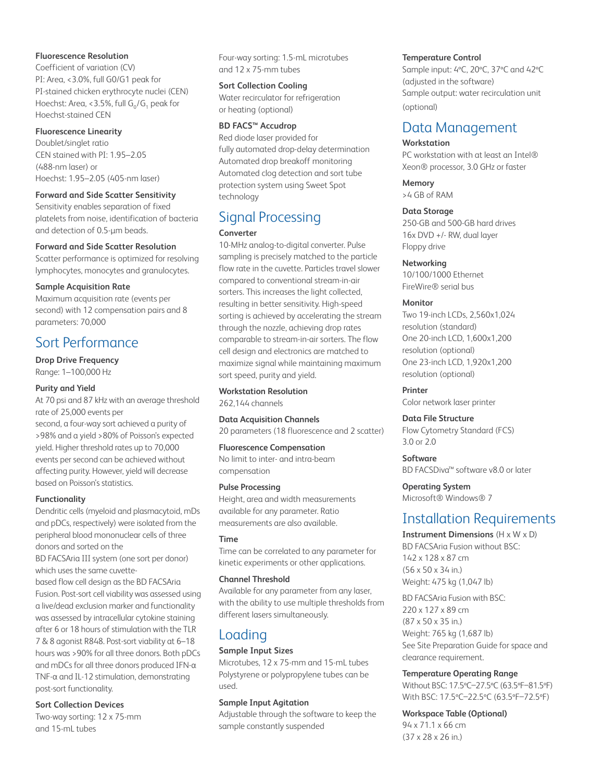## **Fluorescence Resolution**

Coefficient of variation (CV) PI: Area, <3.0%, full G0/G1 peak for PI-stained chicken erythrocyte nuclei (CEN) Hoechst: Area, <3.5%, full G<sub>o</sub>/G<sub>1</sub> peak for Hoechst-stained CEN

#### **Fluorescence Linearity**

Doublet/singlet ratio CEN stained with PI: 1.95–2.05 (488-nm laser) or Hoechst: 1.95–2.05 (405-nm laser)

#### **Forward and Side Scatter Sensitivity**

Sensitivity enables separation of fixed platelets from noise, identification of bacteria and detection of 0.5-µm beads.

#### **Forward and Side Scatter Resolution**

Scatter performance is optimized for resolving lymphocytes, monocytes and granulocytes.

#### **Sample Acquisition Rate**

Maximum acquisition rate (events per second) with 12 compensation pairs and 8 parameters: 70,000

# Sort Performance

**Drop Drive Frequency** Range: 1–100,000 Hz

# **Purity and Yield**

At 70 psi and 87 kHz with an average threshold rate of 25,000 events per

second, a four-way sort achieved a purity of >98% and a yield >80% of Poisson's expected yield. Higher threshold rates up to 70,000 events per second can be achieved without affecting purity. However, yield will decrease based on Poisson's statistics.

# **Functionality**

Dendritic cells (myeloid and plasmacytoid, mDs and pDCs, respectively) were isolated from the peripheral blood mononuclear cells of three donors and sorted on the BD FACSAria III system (one sort per donor) which uses the same cuvette-

based flow cell design as the BD FACSAria Fusion. Post-sort cell viability was assessed using a live/dead exclusion marker and functionality was assessed by intracellular cytokine staining after 6 or 18 hours of stimulation with the TLR 7 & 8 agonist R848. Post-sort viability at 6–18 hours was >90% for all three donors. Both pDCs and mDCs for all three donors produced IFN-α TNF-α and IL-12 stimulation, demonstrating post-sort functionality.

# **Sort Collection Devices**

Two-way sorting: 12 x 75-mm and 15-mL tubes

Four-way sorting: 1.5-mL microtubes and 12 x 75-mm tubes

#### **Sort Collection Cooling**

Water recirculator for refrigeration or heating (optional)

#### **BD FACS™ Accudrop**

Red diode laser provided for fully automated drop-delay determination Automated drop breakoff monitoring Automated clog detection and sort tube protection system using Sweet Spot technology

# Signal Processing

# **Converter**

10-MHz analog-to-digital converter. Pulse sampling is precisely matched to the particle flow rate in the cuvette. Particles travel slower compared to conventional stream-in-air sorters. This increases the light collected, resulting in better sensitivity. High-speed sorting is achieved by accelerating the stream through the nozzle, achieving drop rates comparable to stream-in-air sorters. The flow cell design and electronics are matched to maximize signal while maintaining maximum sort speed, purity and yield.

#### **Workstation Resolution**

262,144 channels

**Data Acquisition Channels**

20 parameters (18 fluorescence and 2 scatter)

#### **Fluorescence Compensation**

No limit to inter- and intra-beam compensation

#### **Pulse Processing**

Height, area and width measurements available for any parameter. Ratio measurements are also available.

#### **Time**

Time can be correlated to any parameter for kinetic experiments or other applications.

#### **Channel Threshold**

Available for any parameter from any laser, with the ability to use multiple thresholds from different lasers simultaneously.

# Loading

#### **Sample Input Sizes**

Microtubes, 12 x 75-mm and 15-mL tubes Polystyrene or polypropylene tubes can be used.

#### **Sample Input Agitation**

Adjustable through the software to keep the sample constantly suspended

#### **Temperature Control**

Sample input: 4ºC, 20ºC, 37ºC and 42ºC (adjusted in the software) Sample output: water recirculation unit (optional)

# Data Management

#### **Workstation**

PC workstation with at least an Intel® Xeon® processor, 3.0 GHz or faster

**Memory** >4 GB of RAM

# **Data Storage**

250-GB and 500-GB hard drives 16x DVD +/- RW, dual layer Floppy drive

## **Networking**

10/100/1000 Ethernet FireWire® serial bus

## **Monitor**

Two 19-inch LCDs, 2,560x1,024 resolution (standard) One 20-inch LCD, 1,600x1,200 resolution (optional) One 23-inch LCD, 1,920x1,200 resolution (optional)

**Printer** Color network laser printer

#### **Data File Structure** Flow Cytometry Standard (FCS)

3.0 or 2.0

#### **Software** BD FACSDiva™ software v8.0 or later

**Operating System** Microsoft® Windows® 7

# Installation Requirements

**Instrument Dimensions** (H x W x D) BD FACSAria Fusion without BSC: 142 x 128 x 87 cm (56 x 50 x 34 in.) Weight: 475 kg (1,047 lb)

BD FACSAria Fusion with BSC: 220 x 127 x 89 cm (87 x 50 x 35 in.) Weight: 765 kg (1,687 lb) See Site Preparation Guide for space and clearance requirement.

# **Temperature Operating Range**

Without BSC: 17.5ºC–27.5ºC (63.5ºF–81.5ºF) With BSC: 17.5ºC–22.5ºC (63.5ºF–72.5ºF)

**Workspace Table (Optional)** 94 x 71.1 x 66 cm (37 x 28 x 26 in.)